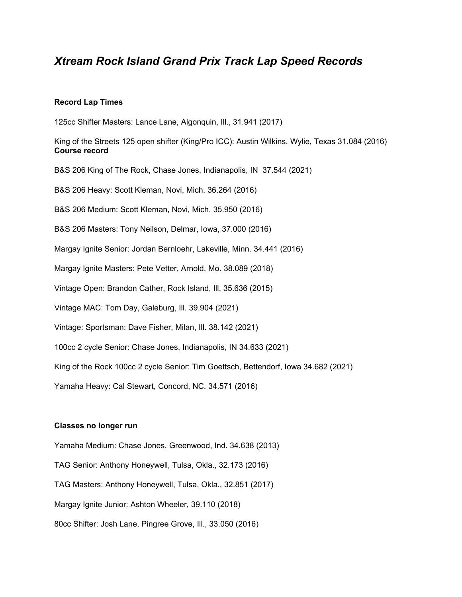# *Xtream Rock Island Grand Prix Track Lap Speed Records*

#### **Record Lap Times**

125cc Shifter Masters: Lance Lane, Algonquin, Ill., 31.941 (2017)

King of the Streets 125 open shifter (King/Pro ICC): Austin Wilkins, Wylie, Texas 31.084 (2016) **Course record**

B&S 206 King of The Rock, Chase Jones, Indianapolis, IN 37.544 (2021)

B&S 206 Heavy: Scott Kleman, Novi, Mich. 36.264 (2016)

B&S 206 Medium: Scott Kleman, Novi, Mich, 35.950 (2016)

B&S 206 Masters: Tony Neilson, Delmar, Iowa, 37.000 (2016)

Margay Ignite Senior: Jordan Bernloehr, Lakeville, Minn. 34.441 (2016)

Margay Ignite Masters: Pete Vetter, Arnold, Mo. 38.089 (2018)

Vintage Open: Brandon Cather, Rock Island, Ill. 35.636 (2015)

Vintage MAC: Tom Day, Galeburg, Ill. 39.904 (2021)

Vintage: Sportsman: Dave Fisher, Milan, Ill. 38.142 (2021)

100cc 2 cycle Senior: Chase Jones, Indianapolis, IN 34.633 (2021)

King of the Rock 100cc 2 cycle Senior: Tim Goettsch, Bettendorf, Iowa 34.682 (2021)

Yamaha Heavy: Cal Stewart, Concord, NC. 34.571 (2016)

#### **Classes no longer run**

Yamaha Medium: Chase Jones, Greenwood, Ind. 34.638 (2013) TAG Senior: Anthony Honeywell, Tulsa, Okla., 32.173 (2016) TAG Masters: Anthony Honeywell, Tulsa, Okla., 32.851 (2017) Margay Ignite Junior: Ashton Wheeler, 39.110 (2018) 80cc Shifter: Josh Lane, Pingree Grove, Ill., 33.050 (2016)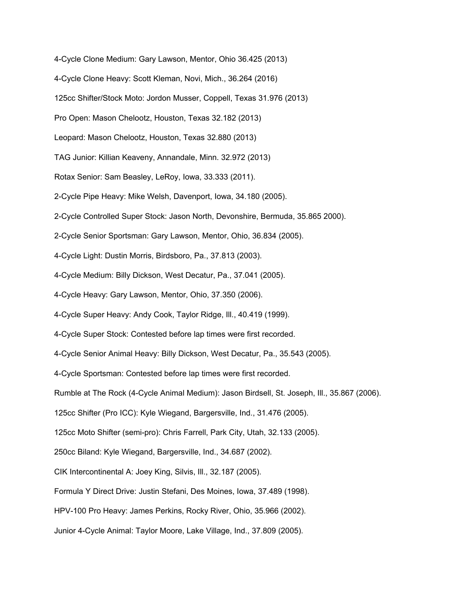4-Cycle Clone Medium: Gary Lawson, Mentor, Ohio 36.425 (2013) 4-Cycle Clone Heavy: Scott Kleman, Novi, Mich., 36.264 (2016) 125cc Shifter/Stock Moto: Jordon Musser, Coppell, Texas 31.976 (2013) Pro Open: Mason Chelootz, Houston, Texas 32.182 (2013) Leopard: Mason Chelootz, Houston, Texas 32.880 (2013) TAG Junior: Killian Keaveny, Annandale, Minn. 32.972 (2013) Rotax Senior: Sam Beasley, LeRoy, Iowa, 33.333 (2011). 2-Cycle Pipe Heavy: Mike Welsh, Davenport, Iowa, 34.180 (2005). 2-Cycle Controlled Super Stock: Jason North, Devonshire, Bermuda, 35.865 2000). 2-Cycle Senior Sportsman: Gary Lawson, Mentor, Ohio, 36.834 (2005). 4-Cycle Light: Dustin Morris, Birdsboro, Pa., 37.813 (2003). 4-Cycle Medium: Billy Dickson, West Decatur, Pa., 37.041 (2005). 4-Cycle Heavy: Gary Lawson, Mentor, Ohio, 37.350 (2006). 4-Cycle Super Heavy: Andy Cook, Taylor Ridge, Ill., 40.419 (1999). 4-Cycle Super Stock: Contested before lap times were first recorded. 4-Cycle Senior Animal Heavy: Billy Dickson, West Decatur, Pa., 35.543 (2005). 4-Cycle Sportsman: Contested before lap times were first recorded. Rumble at The Rock (4-Cycle Animal Medium): Jason Birdsell, St. Joseph, Ill., 35.867 (2006). 125cc Shifter (Pro ICC): Kyle Wiegand, Bargersville, Ind., 31.476 (2005). 125cc Moto Shifter (semi-pro): Chris Farrell, Park City, Utah, 32.133 (2005). 250cc Biland: Kyle Wiegand, Bargersville, Ind., 34.687 (2002). CIK Intercontinental A: Joey King, Silvis, Ill., 32.187 (2005). Formula Y Direct Drive: Justin Stefani, Des Moines, Iowa, 37.489 (1998). HPV-100 Pro Heavy: James Perkins, Rocky River, Ohio, 35.966 (2002). Junior 4-Cycle Animal: Taylor Moore, Lake Village, Ind., 37.809 (2005).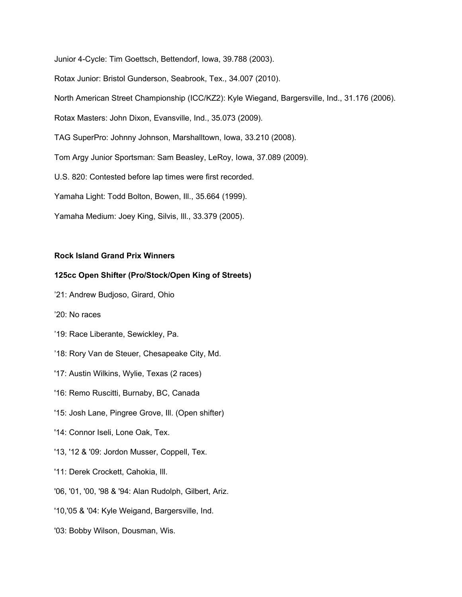Junior 4-Cycle: Tim Goettsch, Bettendorf, Iowa, 39.788 (2003).

Rotax Junior: Bristol Gunderson, Seabrook, Tex., 34.007 (2010).

North American Street Championship (ICC/KZ2): Kyle Wiegand, Bargersville, Ind., 31.176 (2006).

Rotax Masters: John Dixon, Evansville, Ind., 35.073 (2009).

TAG SuperPro: Johnny Johnson, Marshalltown, Iowa, 33.210 (2008).

Tom Argy Junior Sportsman: Sam Beasley, LeRoy, Iowa, 37.089 (2009).

U.S. 820: Contested before lap times were first recorded.

Yamaha Light: Todd Bolton, Bowen, Ill., 35.664 (1999).

Yamaha Medium: Joey King, Silvis, Ill., 33.379 (2005).

## **Rock Island Grand Prix Winners**

## **125cc Open Shifter (Pro/Stock/Open King of Streets)**

- '21: Andrew Budjoso, Girard, Ohio
- '20: No races
- '19: Race Liberante, Sewickley, Pa.
- '18: Rory Van de Steuer, Chesapeake City, Md.
- '17: Austin Wilkins, Wylie, Texas (2 races)
- '16: Remo Ruscitti, Burnaby, BC, Canada
- '15: Josh Lane, Pingree Grove, Ill. (Open shifter)
- '14: Connor Iseli, Lone Oak, Tex.
- '13, '12 & '09: Jordon Musser, Coppell, Tex.
- '11: Derek Crockett, Cahokia, Ill.
- '06, '01, '00, '98 & '94: Alan Rudolph, Gilbert, Ariz.
- '10,'05 & '04: Kyle Weigand, Bargersville, Ind.
- '03: Bobby Wilson, Dousman, Wis.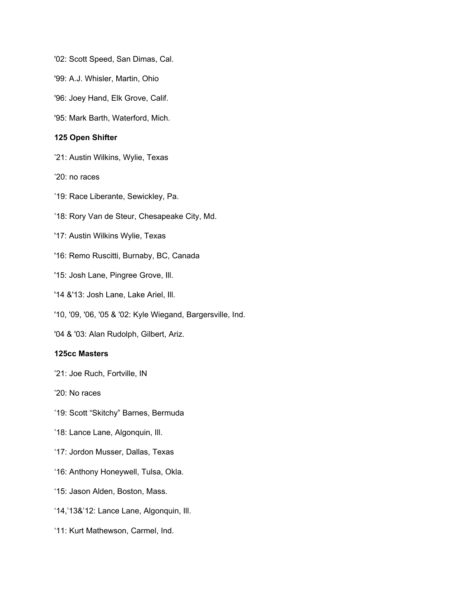'02: Scott Speed, San Dimas, Cal.

'99: A.J. Whisler, Martin, Ohio

'96: Joey Hand, Elk Grove, Calif.

'95: Mark Barth, Waterford, Mich.

#### **125 Open Shifter**

'21: Austin Wilkins, Wylie, Texas

'20: no races

'19: Race Liberante, Sewickley, Pa.

'18: Rory Van de Steur, Chesapeake City, Md.

'17: Austin Wilkins Wylie, Texas

'16: Remo Ruscitti, Burnaby, BC, Canada

'15: Josh Lane, Pingree Grove, Ill.

'14 &'13: Josh Lane, Lake Ariel, Ill.

'10, '09, '06, '05 & '02: Kyle Wiegand, Bargersville, Ind.

'04 & '03: Alan Rudolph, Gilbert, Ariz.

# **125cc Masters**

'21: Joe Ruch, Fortville, IN

'20: No races

'19: Scott "Skitchy" Barnes, Bermuda

'18: Lance Lane, Algonquin, Ill.

'17: Jordon Musser, Dallas, Texas

'16: Anthony Honeywell, Tulsa, Okla.

'15: Jason Alden, Boston, Mass.

'14,'13&'12: Lance Lane, Algonquin, Ill.

'11: Kurt Mathewson, Carmel, Ind.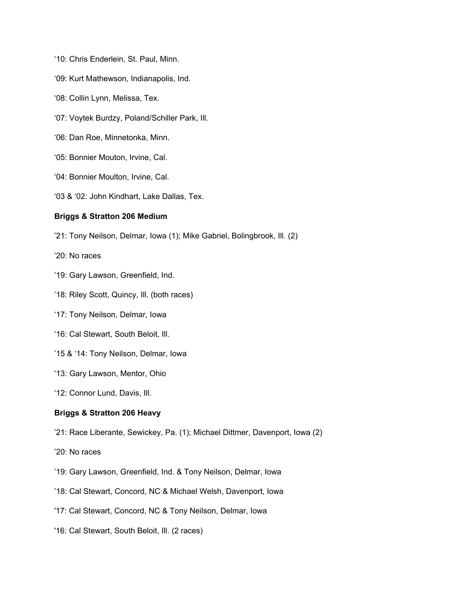- '10: Chris Enderlein, St. Paul, Minn.
- '09: Kurt Mathewson, Indianapolis, Ind.
- '08: Collin Lynn, Melissa, Tex.
- '07: Voytek Burdzy, Poland/Schiller Park, Ill.
- '06: Dan Roe, Minnetonka, Minn.
- '05: Bonnier Mouton, Irvine, Cal.
- '04: Bonnier Moulton, Irvine, Cal.
- '03 & '02: John Kindhart, Lake Dallas, Tex.

#### **Briggs & Stratton 206 Medium**

- '21: Tony Neilson, Delmar, Iowa (1); Mike Gabriel, Bolingbrook, Ill. (2)
- '20: No races
- '19: Gary Lawson, Greenfield, Ind.
- '18: Riley Scott, Quincy, Ill. (both races)
- '17: Tony Neilson, Delmar, Iowa
- '16: Cal Stewart, South Beloit, Ill.
- '15 & '14: Tony Neilson, Delmar, Iowa
- '13: Gary Lawson, Mentor, Ohio
- '12: Connor Lund, Davis, Ill.

## **Briggs & Stratton 206 Heavy**

- '21: Race Liberante, Sewickey, Pa. (1); Michael Dittmer, Davenport, Iowa (2)
- '20: No races
- '19: Gary Lawson, Greenfield, Ind. & Tony Neilson, Delmar, Iowa
- '18: Cal Stewart, Concord, NC & Michael Welsh, Davenport, Iowa
- '17: Cal Stewart, Concord, NC & Tony Neilson, Delmar, Iowa
- '16: Cal Stewart, South Beloit, Ill. (2 races)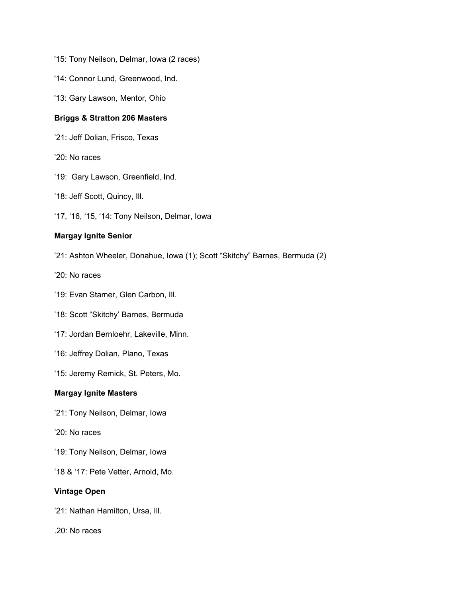- '15: Tony Neilson, Delmar, Iowa (2 races)
- '14: Connor Lund, Greenwood, Ind.
- '13: Gary Lawson, Mentor, Ohio

## **Briggs & Stratton 206 Masters**

- '21: Jeff Dolian, Frisco, Texas
- '20: No races
- '19: Gary Lawson, Greenfield, Ind.
- '18: Jeff Scott, Quincy, Ill.
- '17, '16, '15, '14: Tony Neilson, Delmar, Iowa

# **Margay Ignite Senior**

- '21: Ashton Wheeler, Donahue, Iowa (1); Scott "Skitchy" Barnes, Bermuda (2)
- '20: No races
- '19: Evan Stamer, Glen Carbon, Ill.
- '18: Scott "Skitchy' Barnes, Bermuda
- '17: Jordan Bernloehr, Lakeville, Minn.
- '16: Jeffrey Dolian, Plano, Texas
- '15: Jeremy Remick, St. Peters, Mo.

#### **Margay Ignite Masters**

- '21: Tony Neilson, Delmar, Iowa
- '20: No races
- '19: Tony Neilson, Delmar, Iowa
- '18 & '17: Pete Vetter, Arnold, Mo.

#### **Vintage Open**

- '21: Nathan Hamilton, Ursa, Ill.
- .20: No races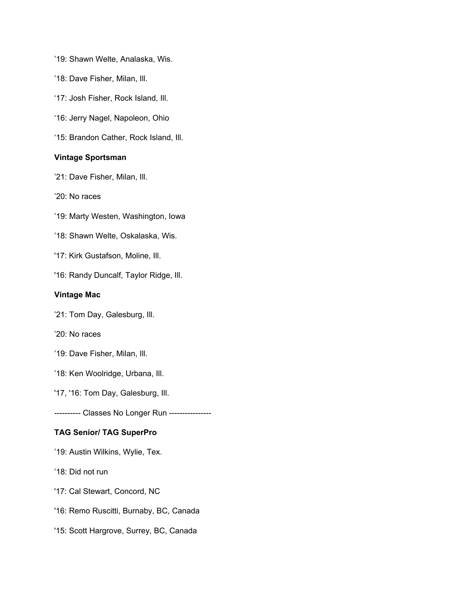- '19: Shawn Welte, Analaska, Wis.
- '18: Dave Fisher, Milan, Ill.
- '17: Josh Fisher, Rock Island, Ill.
- '16: Jerry Nagel, Napoleon, Ohio
- '15: Brandon Cather, Rock Island, Ill.

## **Vintage Sportsman**

- '21: Dave Fisher, Milan, Ill.
- '20: No races
- '19: Marty Westen, Washington, Iowa
- '18: Shawn Welte, Oskalaska, Wis.
- '17: Kirk Gustafson, Moline, Ill.
- '16: Randy Duncalf, Taylor Ridge, Ill.

## **Vintage Mac**

- '21: Tom Day, Galesburg, Ill.
- '20: No races
- '19: Dave Fisher, Milan, Ill.
- '18: Ken Woolridge, Urbana, Ill.
- '17, '16: Tom Day, Galesburg, Ill.
- ---------- Classes No Longer Run ----------------

# **TAG Senior/ TAG SuperPro**

- '19: Austin Wilkins, Wylie, Tex.
- '18: Did not run
- '17: Cal Stewart, Concord, NC
- '16: Remo Ruscitti, Burnaby, BC, Canada
- '15: Scott Hargrove, Surrey, BC, Canada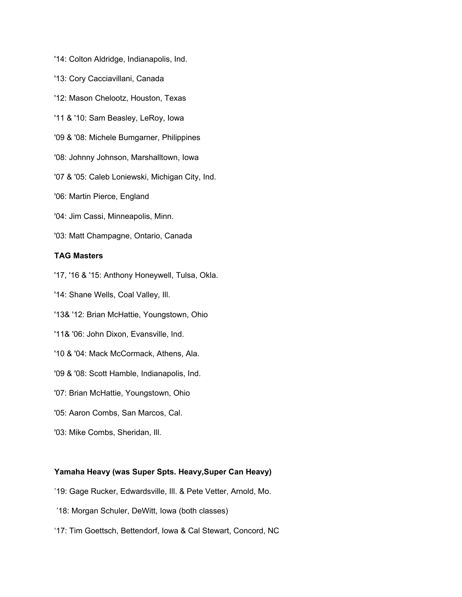- '14: Colton Aldridge, Indianapolis, Ind.
- '13: Cory Cacciavillani, Canada
- '12: Mason Chelootz, Houston, Texas
- '11 & '10: Sam Beasley, LeRoy, Iowa
- '09 & '08: Michele Bumgarner, Philippines
- '08: Johnny Johnson, Marshalltown, Iowa
- '07 & '05: Caleb Loniewski, Michigan City, Ind.
- '06: Martin Pierce, England
- '04: Jim Cassi, Minneapolis, Minn.
- '03: Matt Champagne, Ontario, Canada

## **TAG Masters**

'17, '16 & '15: Anthony Honeywell, Tulsa, Okla.

- '14: Shane Wells, Coal Valley, Ill.
- '13& '12: Brian McHattie, Youngstown, Ohio
- '11& '06: John Dixon, Evansville, Ind.
- '10 & '04: Mack McCormack, Athens, Ala.
- '09 & '08: Scott Hamble, Indianapolis, Ind.
- '07: Brian McHattie, Youngstown, Ohio
- '05: Aaron Combs, San Marcos, Cal.
- '03: Mike Combs, Sheridan, Ill.

#### **Yamaha Heavy (was Super Spts. Heavy,Super Can Heavy)**

- '19: Gage Rucker, Edwardsville, Ill. & Pete Vetter, Arnold, Mo.
- '18: Morgan Schuler, DeWitt, Iowa (both classes)
- '17: Tim Goettsch, Bettendorf, Iowa & Cal Stewart, Concord, NC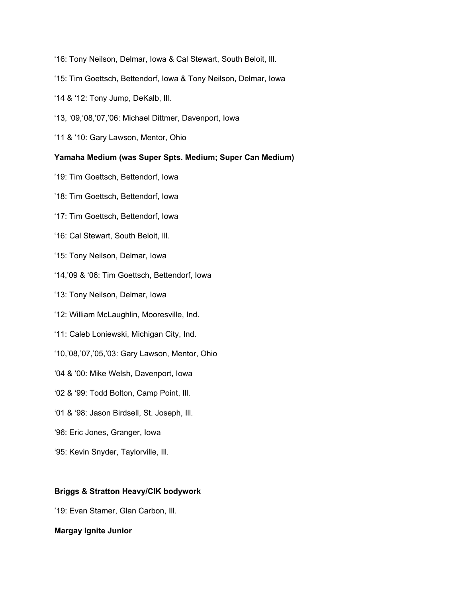- '16: Tony Neilson, Delmar, Iowa & Cal Stewart, South Beloit, Ill.
- '15: Tim Goettsch, Bettendorf, Iowa & Tony Neilson, Delmar, Iowa
- '14 & '12: Tony Jump, DeKalb, Ill.
- '13, '09,'08,'07,'06: Michael Dittmer, Davenport, Iowa
- '11 & '10: Gary Lawson, Mentor, Ohio

## **Yamaha Medium (was Super Spts. Medium; Super Can Medium)**

- '19: Tim Goettsch, Bettendorf, Iowa
- '18: Tim Goettsch, Bettendorf, Iowa
- '17: Tim Goettsch, Bettendorf, Iowa
- '16: Cal Stewart, South Beloit, Ill.
- '15: Tony Neilson, Delmar, Iowa
- '14,'09 & '06: Tim Goettsch, Bettendorf, Iowa
- '13: Tony Neilson, Delmar, Iowa
- '12: William McLaughlin, Mooresville, Ind.
- '11: Caleb Loniewski, Michigan City, Ind.
- '10,'08,'07,'05,'03: Gary Lawson, Mentor, Ohio
- '04 & '00: Mike Welsh, Davenport, Iowa
- '02 & '99: Todd Bolton, Camp Point, Ill.
- '01 & '98: Jason Birdsell, St. Joseph, Ill.
- '96: Eric Jones, Granger, Iowa
- '95: Kevin Snyder, Taylorville, Ill.

#### **Briggs & Stratton Heavy/CIK bodywork**

'19: Evan Stamer, Glan Carbon, Ill.

#### **Margay Ignite Junior**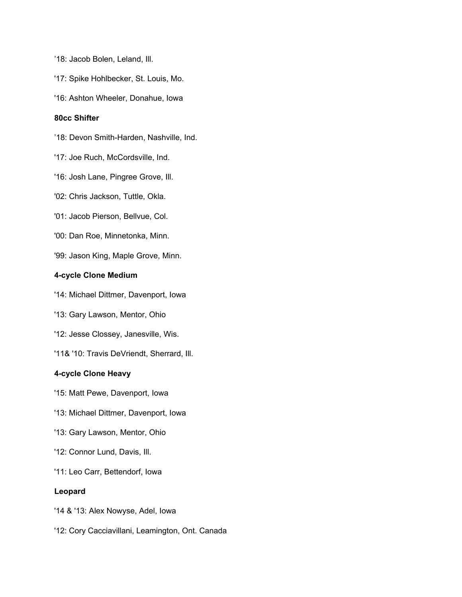'18: Jacob Bolen, Leland, Ill.

'17: Spike Hohlbecker, St. Louis, Mo.

'16: Ashton Wheeler, Donahue, Iowa

### **80cc Shifter**

'18: Devon Smith-Harden, Nashville, Ind.

- '17: Joe Ruch, McCordsville, Ind.
- '16: Josh Lane, Pingree Grove, Ill.
- '02: Chris Jackson, Tuttle, Okla.
- '01: Jacob Pierson, Bellvue, Col.
- '00: Dan Roe, Minnetonka, Minn.
- '99: Jason King, Maple Grove, Minn.

# **4-cycle Clone Medium**

- '14: Michael Dittmer, Davenport, Iowa
- '13: Gary Lawson, Mentor, Ohio
- '12: Jesse Clossey, Janesville, Wis.
- '11& '10: Travis DeVriendt, Sherrard, Ill.

# **4-cycle Clone Heavy**

- '15: Matt Pewe, Davenport, Iowa
- '13: Michael Dittmer, Davenport, Iowa
- '13: Gary Lawson, Mentor, Ohio
- '12: Connor Lund, Davis, Ill.
- '11: Leo Carr, Bettendorf, Iowa

#### **Leopard**

- '14 & '13: Alex Nowyse, Adel, Iowa
- '12: Cory Cacciavillani, Leamington, Ont. Canada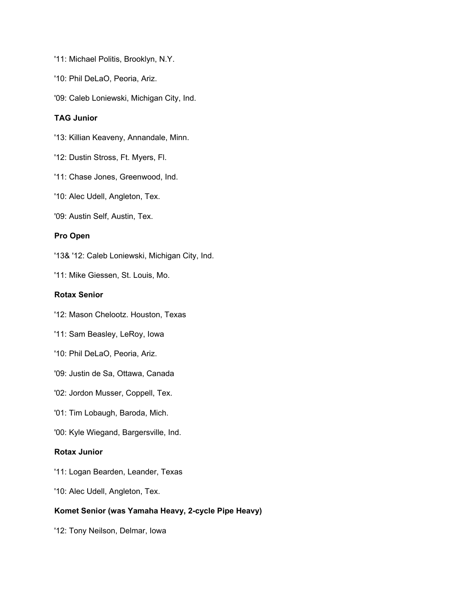- '11: Michael Politis, Brooklyn, N.Y.
- '10: Phil DeLaO, Peoria, Ariz.
- '09: Caleb Loniewski, Michigan City, Ind.

## **TAG Junior**

- '13: Killian Keaveny, Annandale, Minn.
- '12: Dustin Stross, Ft. Myers, Fl.
- '11: Chase Jones, Greenwood, Ind.
- '10: Alec Udell, Angleton, Tex.
- '09: Austin Self, Austin, Tex.

# **Pro Open**

'13& '12: Caleb Loniewski, Michigan City, Ind.

'11: Mike Giessen, St. Louis, Mo.

# **Rotax Senior**

- '12: Mason Chelootz. Houston, Texas
- '11: Sam Beasley, LeRoy, Iowa
- '10: Phil DeLaO, Peoria, Ariz.
- '09: Justin de Sa, Ottawa, Canada
- '02: Jordon Musser, Coppell, Tex.
- '01: Tim Lobaugh, Baroda, Mich.
- '00: Kyle Wiegand, Bargersville, Ind.

# **Rotax Junior**

- '11: Logan Bearden, Leander, Texas
- '10: Alec Udell, Angleton, Tex.

#### **Komet Senior (was Yamaha Heavy, 2-cycle Pipe Heavy)**

'12: Tony Neilson, Delmar, Iowa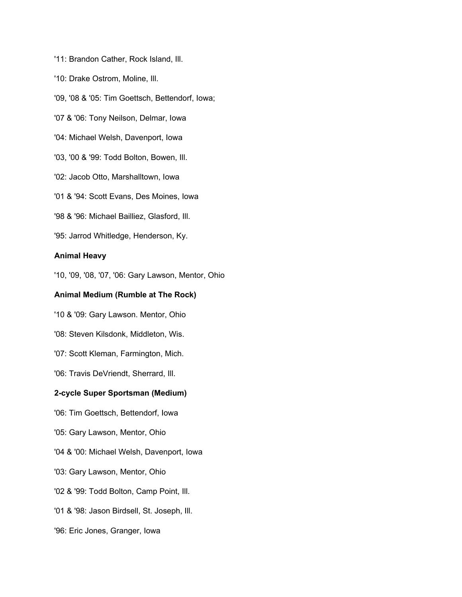'11: Brandon Cather, Rock Island, Ill.

'10: Drake Ostrom, Moline, Ill.

'09, '08 & '05: Tim Goettsch, Bettendorf, Iowa;

'07 & '06: Tony Neilson, Delmar, Iowa

'04: Michael Welsh, Davenport, Iowa

'03, '00 & '99: Todd Bolton, Bowen, Ill.

'02: Jacob Otto, Marshalltown, Iowa

'01 & '94: Scott Evans, Des Moines, Iowa

'98 & '96: Michael Bailliez, Glasford, Ill.

'95: Jarrod Whitledge, Henderson, Ky.

#### **Animal Heavy**

'10, '09, '08, '07, '06: Gary Lawson, Mentor, Ohio

#### **Animal Medium (Rumble at The Rock)**

'10 & '09: Gary Lawson. Mentor, Ohio

'08: Steven Kilsdonk, Middleton, Wis.

'07: Scott Kleman, Farmington, Mich.

'06: Travis DeVriendt, Sherrard, Ill.

#### **2-cycle Super Sportsman (Medium)**

'06: Tim Goettsch, Bettendorf, Iowa

'05: Gary Lawson, Mentor, Ohio

'04 & '00: Michael Welsh, Davenport, Iowa

'03: Gary Lawson, Mentor, Ohio

'02 & '99: Todd Bolton, Camp Point, Ill.

'01 & '98: Jason Birdsell, St. Joseph, Ill.

'96: Eric Jones, Granger, Iowa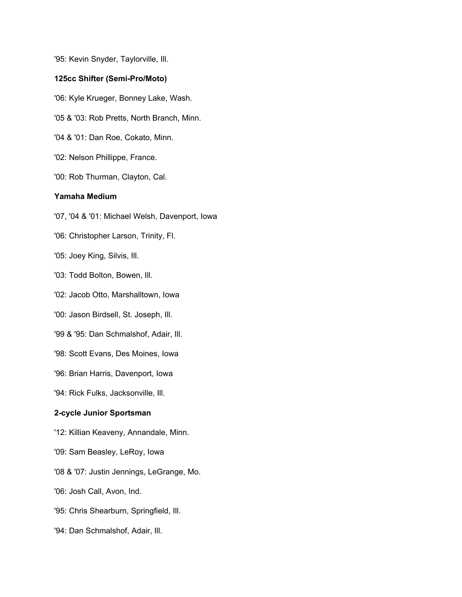'95: Kevin Snyder, Taylorville, Ill. **125cc Shifter (Semi-Pro/Moto)** '06: Kyle Krueger, Bonney Lake, Wash. '05 & '03: Rob Pretts, North Branch, Minn. '04 & '01: Dan Roe, Cokato, Minn. '02: Nelson Phillippe, France. '00: Rob Thurman, Clayton, Cal. **Yamaha Medium** '07, '04 & '01: Michael Welsh, Davenport, Iowa '06: Christopher Larson, Trinity, Fl. '05: Joey King, Silvis, Ill. '03: Todd Bolton, Bowen, Ill. '02: Jacob Otto, Marshalltown, Iowa '00: Jason Birdsell, St. Joseph, Ill. '99 & '95: Dan Schmalshof, Adair, Ill. '98: Scott Evans, Des Moines, Iowa '96: Brian Harris, Davenport, Iowa '94: Rick Fulks, Jacksonville, Ill. **2-cycle Junior Sportsman** '12: Killian Keaveny, Annandale, Minn. '09: Sam Beasley, LeRoy, Iowa '08 & '07: Justin Jennings, LeGrange, Mo.

'06: Josh Call, Avon, Ind.

'95: Chris Shearburn, Springfield, Ill.

'94: Dan Schmalshof, Adair, Ill.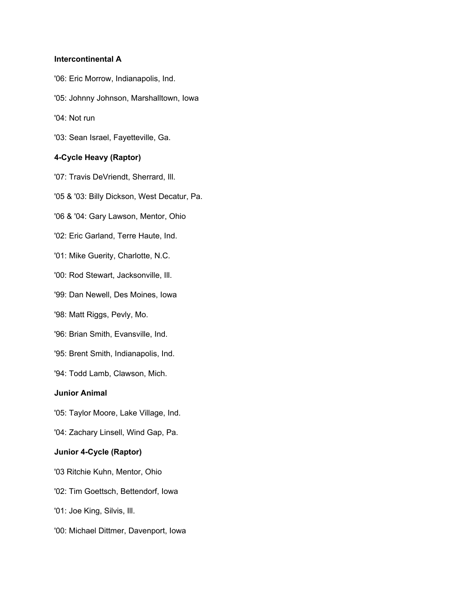## **Intercontinental A**

- '06: Eric Morrow, Indianapolis, Ind.
- '05: Johnny Johnson, Marshalltown, Iowa
- '04: Not run
- '03: Sean Israel, Fayetteville, Ga.

## **4-Cycle Heavy (Raptor)**

- '07: Travis DeVriendt, Sherrard, Ill.
- '05 & '03: Billy Dickson, West Decatur, Pa.
- '06 & '04: Gary Lawson, Mentor, Ohio
- '02: Eric Garland, Terre Haute, Ind.
- '01: Mike Guerity, Charlotte, N.C.
- '00: Rod Stewart, Jacksonville, Ill.
- '99: Dan Newell, Des Moines, Iowa
- '98: Matt Riggs, Pevly, Mo.
- '96: Brian Smith, Evansville, Ind.
- '95: Brent Smith, Indianapolis, Ind.
- '94: Todd Lamb, Clawson, Mich.

# **Junior Animal**

- '05: Taylor Moore, Lake Village, Ind.
- '04: Zachary Linsell, Wind Gap, Pa.

# **Junior 4-Cycle (Raptor)**

- '03 Ritchie Kuhn, Mentor, Ohio
- '02: Tim Goettsch, Bettendorf, Iowa
- '01: Joe King, Silvis, Ill.
- '00: Michael Dittmer, Davenport, Iowa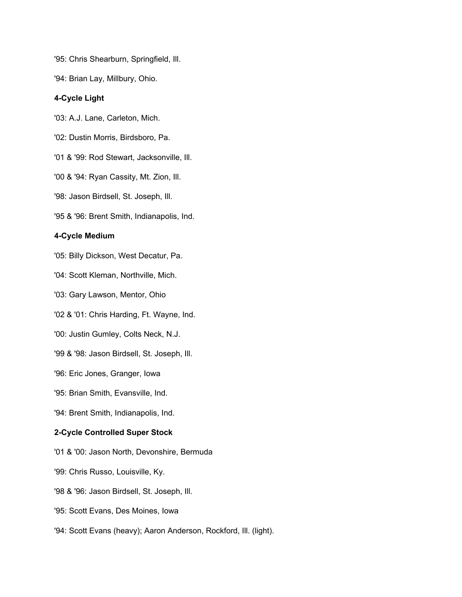'95: Chris Shearburn, Springfield, Ill.

'94: Brian Lay, Millbury, Ohio.

# **4-Cycle Light**

'03: A.J. Lane, Carleton, Mich.

'02: Dustin Morris, Birdsboro, Pa.

'01 & '99: Rod Stewart, Jacksonville, Ill.

'00 & '94: Ryan Cassity, Mt. Zion, Ill.

'98: Jason Birdsell, St. Joseph, Ill.

'95 & '96: Brent Smith, Indianapolis, Ind.

# **4-Cycle Medium**

'05: Billy Dickson, West Decatur, Pa.

'04: Scott Kleman, Northville, Mich.

'03: Gary Lawson, Mentor, Ohio

'02 & '01: Chris Harding, Ft. Wayne, Ind.

'00: Justin Gumley, Colts Neck, N.J.

'99 & '98: Jason Birdsell, St. Joseph, Ill.

'96: Eric Jones, Granger, Iowa

'95: Brian Smith, Evansville, Ind.

'94: Brent Smith, Indianapolis, Ind.

# **2-Cycle Controlled Super Stock**

'01 & '00: Jason North, Devonshire, Bermuda

'99: Chris Russo, Louisville, Ky.

'98 & '96: Jason Birdsell, St. Joseph, Ill.

'95: Scott Evans, Des Moines, Iowa

'94: Scott Evans (heavy); Aaron Anderson, Rockford, Ill. (light).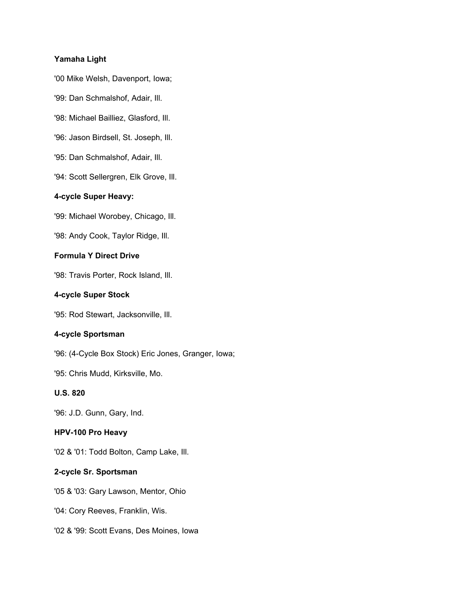## **Yamaha Light**

'00 Mike Welsh, Davenport, Iowa;

'99: Dan Schmalshof, Adair, Ill.

'98: Michael Bailliez, Glasford, Ill.

'96: Jason Birdsell, St. Joseph, Ill.

'95: Dan Schmalshof, Adair, Ill.

'94: Scott Sellergren, Elk Grove, Ill.

# **4-cycle Super Heavy:**

'99: Michael Worobey, Chicago, Ill.

'98: Andy Cook, Taylor Ridge, Ill.

## **Formula Y Direct Drive**

'98: Travis Porter, Rock Island, Ill.

# **4-cycle Super Stock**

'95: Rod Stewart, Jacksonville, Ill.

#### **4-cycle Sportsman**

'96: (4-Cycle Box Stock) Eric Jones, Granger, Iowa;

'95: Chris Mudd, Kirksville, Mo.

## **U.S. 820**

'96: J.D. Gunn, Gary, Ind.

# **HPV-100 Pro Heavy**

'02 & '01: Todd Bolton, Camp Lake, Ill.

# **2-cycle Sr. Sportsman**

'05 & '03: Gary Lawson, Mentor, Ohio

'04: Cory Reeves, Franklin, Wis.

'02 & '99: Scott Evans, Des Moines, Iowa